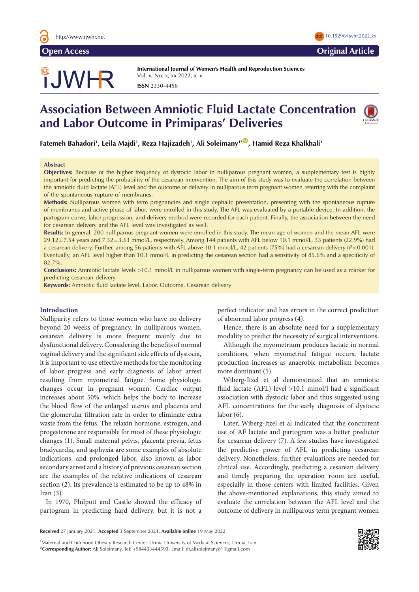

# **Open Access Original Article**

# TJWHR

**International Journal of Women's Health and Reproduction Sciences**  Vol. x, No. x, xx 2022, x–x **ISSN** 2330-4456

# **Association Between Amniotic Fluid Lactate Concentration and Labor Outcome in Primiparas' Deliveries**



**Fatemeh Bahadori1 , Leila Majdi1 , Reza Hajizadeh1 , Ali Soleimany1\*** [ID](https://orcid.org/0000-0002-5006-6839) **, Hamid Reza Khalkhali1**

# **Abstract**

**Objectives:** Because of the higher frequency of dystocic labor in nulliparous pregnant women, a supplementary test is highly important for predicting the probability of the cesarean intervention. The aim of this study was to evaluate the correlation between the amniotic fluid lactate (AFL) level and the outcome of delivery in nulliparous term pregnant women referring with the complaint of the spontaneous rupture of membranes.

**Methods:** Nulliparous women with term pregnancies and single cephalic presentation, presenting with the spontaneous rupture of membranes and active phase of labor, were enrolled in this study. The AFL was evaluated by a portable device. In addition, the partogram curve, labor progression, and delivery method were recorded for each patient. Finally, the association between the need for cesarean delivery and the AFL level was investigated as well.

**Results:** In general, 200 nulliparous pregnant women were enrolled in this study. The mean age of women and the mean AFL were  $29.12 \pm 7.54$  years and  $7.32 \pm 3.63$  mmol/L, respectively. Among 144 patients with AFL below 10.1 mmol/L, 33 patients (22.9%) had a cesarean delivery. Further, among 56 patients with AFL above 10.1 mmol/L, 42 patients (75%) had a cesarean delivery (*P*<0.001). Eventually, an AFL level higher than 10.1 mmol/L in predicting the cesarean section had a sensitivity of 85.6% and a specificity of 82.7%.

**Conclusions:** Amniotic lactate levels >10.1 mmol/L in nulliparous women with single-term pregnancy can be used as a marker for predicting cesarean delivery.

**Keywords:** Amniotic fluid lactate level, Labor, Outcome, Cesarean delivery

## **Introduction**

Nulliparity refers to those women who have no delivery beyond 20 weeks of pregnancy. In nulliparous women, cesarean delivery is more frequent mainly due to dysfunctional delivery. Considering the benefits of normal vaginal delivery and the significant side effects of dystocia, it is important to use effective methods for the monitoring of labor progress and early diagnosis of labor arrest resulting from myometrial fatigue. Some physiologic changes occur in pregnant women. Cardiac output increases about 50%, which helps the body to increase the blood flow of the enlarged uterus and placenta and the glomerular filtration rate in order to eliminate extra waste from the fetus. The relaxin hormone, estrogen, and progesterone are responsible for most of these physiologic changes (1). Small maternal pelvis, placenta previa, fetus bradycardia, and asphyxia are some examples of absolute indications, and prolonged labor, also known as labor secondary arrest and a history of previous cesarean section are the examples of the relative indications of cesarean section (2). Its prevalence is estimated to be up to 48% in Iran (3).

In 1970, Philpott and Castle showed the efficacy of partogram in predicting hard delivery, but it is not a perfect indicator and has errors in the correct prediction of abnormal labor progress (4).

Hence, there is an absolute need for a supplementary modality to predict the necessity of surgical interventions.

Although the myometrium produces lactate in normal conditions, when myometrial fatigue occurs, lactate production increases as anaerobic metabolism becomes more dominant (5).

Wiberg-Itzel et al demonstrated that an amniotic fluid lactate (AFL) level >10.1 mmol/l had a significant association with dystocic labor and thus suggested using AFL concentrations for the early diagnosis of dystocic labor (6).

Later, Wiberg-Itzel et al indicated that the concurrent use of AF lactate and partogram was a better predictor for cesarean delivery (7). A few studies have investigated the predictive power of AFL in predicting cesarean delivery. Nonetheless, further evaluations are needed for clinical use. Accordingly, predicting a cesarean delivery and timely preparing the operation room are useful, especially in those centers with limited facilities. Given the above-mentioned explanations, this study aimed to evaluate the correlation between the AFL level and the outcome of delivery in nulliparous term pregnant women

1 Maternal and Childhood Obesity Research Center, Urmia University of Medical Sciences, Urmia, Iran. \***Corresponding Author:** Ali Soleimany, Tel: +984433444593, Email: dr.alisoleimany81@gmail.com



**Received** 27 January 2021, **Accepted** 3 September 2021, **Available online** 19 May 2022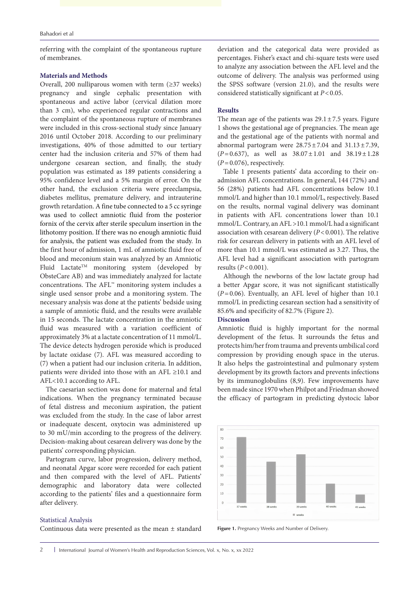referring with the complaint of the spontaneous rupture of membranes.

# **Materials and Methods**

Overall, 200 nulliparous women with term (≥37 weeks) pregnancy and single cephalic presentation with spontaneous and active labor (cervical dilation more than 3 cm), who experienced regular contractions and the complaint of the spontaneous rupture of membranes were included in this cross-sectional study since January 2016 until October 2018. According to our preliminary investigations, 40% of those admitted to our tertiary center had the inclusion criteria and 57% of them had undergone cesarean section, and finally, the study population was estimated as 189 patients considering a 95% confidence level and a 5% margin of error. On the other hand, the exclusion criteria were preeclampsia, diabetes mellitus, premature delivery, and intrauterine growth retardation. A fine tube connected to a 5 cc syringe was used to collect amniotic fluid from the posterior fornix of the cervix after sterile speculum insertion in the lithotomy position. If there was no enough amniotic fluid for analysis, the patient was excluded from the study. In the first hour of admission, 1 mL of amniotic fluid free of blood and meconium stain was analyzed by an Amniotic Fluid Lactate<sup>TM</sup> monitoring system (developed by ObsteCare AB) and was immediately analyzed for lactate concentrations. The AFL™ monitoring system includes a single used sensor probe and a monitoring system. The necessary analysis was done at the patients' bedside using a sample of amniotic fluid, and the results were available in 15 seconds. The lactate concentration in the amniotic fluid was measured with a variation coefficient of approximately 3% at a lactate concentration of 11 mmol/L. The device detects hydrogen peroxide which is produced by lactate oxidase (7). AFL was measured according to (7) when a patient had our inclusion criteria. In addition, patients were divided into those with an AFL ≥10.1 and AFL<10.1 according to AFL.

The caesarian section was done for maternal and fetal indications. When the pregnancy terminated because of fetal distress and meconium aspiration, the patient was excluded from the study. In the case of labor arrest or inadequate descent, oxytocin was administered up to 30 mU/min according to the progress of the delivery. Decision-making about cesarean delivery was done by the patients' corresponding physician.

Partogram curve, labor progression, delivery method, and neonatal Apgar score were recorded for each patient and then compared with the level of AFL. Patients' demographic and laboratory data were collected according to the patients' files and a questionnaire form after delivery.

#### Statistical Analysis

Continuous data were presented as the mean ± standard

deviation and the categorical data were provided as percentages. Fisher's exact and chi-square tests were used to analyze any association between the AFL level and the outcome of delivery. The analysis was performed using the SPSS software (version 21.0), and the results were considered statistically significant at *P*<0.05.

#### **Results**

The mean age of the patients was  $29.1 \pm 7.5$  years. Figure 1 shows the gestational age of pregnancies. The mean age and the gestational age of the patients with normal and abnormal partogram were  $28.75 \pm 7.04$  and  $31.13 \pm 7.39$ ,  $(P=0.637)$ , as well as  $38.07 \pm 1.01$  and  $38.19 \pm 1.28$  $(P=0.076)$ , respectively.

Table 1 presents patients' data according to their onadmission AFL concentrations. In general, 144 (72%) and 56 (28%) patients had AFL concentrations below 10.1 mmol/L and higher than 10.1 mmol/L, respectively. Based on the results, normal vaginal delivery was dominant in patients with AFL concentrations lower than 10.1 mmol/L. Contrary, an AFL >10.1 mmol/L had a significant association with cesarean delivery (*P*<0.001). The relative risk for cesarean delivery in patients with an AFL level of more than 10.1 mmol/L was estimated as 3.27. Thus, the AFL level had a significant association with partogram results (*P*<0.001).

Although the newborns of the low lactate group had a better Apgar score, it was not significant statistically (*P*=0.06). Eventually, an AFL level of higher than 10.1 mmol/L in predicting cesarean section had a sensitivity of 85.6% and specificity of 82.7% (Figure 2).

## **Discussion**

Amniotic fluid is highly important for the normal development of the fetus. It surrounds the fetus and protects him/her from trauma and prevents umbilical cord compression by providing enough space in the uterus. It also helps the gastrointestinal and pulmonary system development by its growth factors and prevents infections by its immunoglobulins (8,9). Few improvements have been made since 1970 when Philpot and Friedman showed the efficacy of partogram in predicting dystocic labor



**Figure 1.** Pregnancy Weeks and Number of Delivery.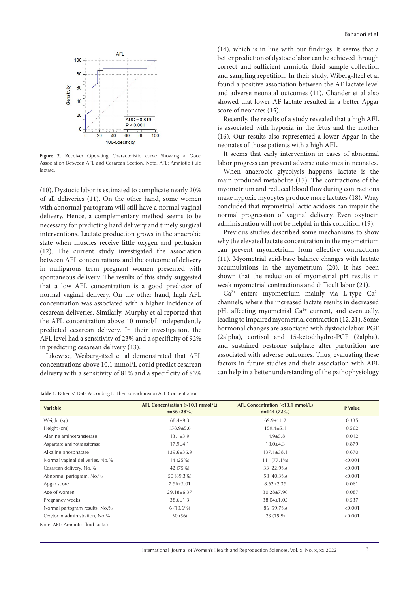

**Figure 2.** Receiver Operating Characteristic curve Showing a Good Association Between AFL and Cesarean Section. Note. AFL: Amniotic fluid lactate.

(10). Dystocic labor is estimated to complicate nearly 20% of all deliveries (11). On the other hand, some women with abnormal partogram will still have a normal vaginal delivery. Hence, a complementary method seems to be necessary for predicting hard delivery and timely surgical interventions. Lactate production grows in the anaerobic state when muscles receive little oxygen and perfusion (12). The current study investigated the association between AFL concentrations and the outcome of delivery in nulliparous term pregnant women presented with spontaneous delivery. The results of this study suggested that a low AFL concentration is a good predictor of normal vaginal delivery. On the other hand, high AFL concentration was associated with a higher incidence of cesarean deliveries. Similarly, Murphy et al reported that the AFL concentration above 10 mmol/L independently predicted cesarean delivery. In their investigation, the AFL level had a sensitivity of 23% and a specificity of 92% in predicting cesarean delivery (13).

Likewise, Weiberg-itzel et al demonstrated that AFL concentrations above 10.1 mmol/L could predict cesarean delivery with a sensitivity of 81% and a specificity of 83%

| <b>Table 1.</b> Patients' Data According to Their on-admission AFL Concentration |  |
|----------------------------------------------------------------------------------|--|
|----------------------------------------------------------------------------------|--|

(14), which is in line with our findings. It seems that a better prediction of dystocic labor can be achieved through correct and sufficient amniotic fluid sample collection and sampling repetition. In their study, [Wiberg-Itzel e](https://www.ncbi.nlm.nih.gov/pubmed/?term=Wiberg-Itzel E%5BAuthor%5D&cauthor=true&cauthor_uid=21691171)t al found a positive association between the AF lactate level and adverse neonatal outcomes (11). Chander et al also showed that lower AF lactate resulted in a better Apgar score of neonates (15).

Recently, the results of a study revealed that a high AFL is associated with hypoxia in the fetus and the mother (16). Our results also represented a lower Apgar in the neonates of those patients with a high AFL.

It seems that early intervention in cases of abnormal labor progress can prevent adverse outcomes in neonates.

When anaerobic glycolysis happens, lactate is the main produced metabolite (17). The contractions of the myometrium and reduced blood flow during contractions make hypoxic myocytes produce more lactates (18). Wray concluded that myometrial lactic acidosis can impair the normal progression of vaginal delivery. Even oxytocin administration will not be helpful in this condition (19).

Previous studies described some mechanisms to show why the elevated lactate concentration in the myometrium can prevent myometrium from effective contractions (11). Myometrial acid-base balance changes with lactate accumulations in the myometrium (20). It has been shown that the reduction of myometrial pH results in weak myometrial contractions and difficult labor (21).

 $Ca^{2+}$  enters myometrium mainly via L-type  $Ca^{2+}$ channels, where the increased lactate results in decreased pH, affecting myometrial Ca<sup>2+</sup> current, and eventually, leading to impaired myometrial contraction (12, 21). Some hormonal changes are associated with dystocic labor. PGF (2alpha), cortisol and 15-ketodihydro-PGF (2alpha), and sustained oestrone sulphate after parturition are associated with adverse outcomes. Thus, evaluating these factors in future studies and their association with AFL can help in a better understanding of the pathophysiology

| <b>Variable</b>                    | AFL Concentration (>10.1 mmol/L)<br>$n=56(28%)$ | AFL Concentration (<10.1 mmol/L)<br>$n=144(72%)$ | P Value |
|------------------------------------|-------------------------------------------------|--------------------------------------------------|---------|
| Weight (kg)                        | $68.4 \pm 9.3$                                  | $69.9 \pm 11.2$                                  | 0.335   |
| Height (cm)                        | $158.9 \pm 5.6$                                 | $159.4 \pm 5.1$                                  | 0.562   |
| Alanine aminotransferase           | $13.1 \pm 3.9$                                  | $14.9 \pm 5.8$                                   | 0.012   |
| Aspartate aminotransferase         | $17.9 + 4.1$                                    | $18.0 \pm 4.3$                                   | 0.879   |
| Alkaline phosphatase               | $139.6 \pm 36.9$                                | $137.1 \pm 38.1$                                 | 0.670   |
| Normal vaginal deliveries, No.%    | 14(25%)                                         | $111(77.1\%)$                                    | < 0.001 |
| Cesarean delivery, No.%            | 42 (75%)                                        | 33 (22.9%)                                       | < 0.001 |
| Abnormal partogram, No.%           | 50 (89.3%)                                      | 58 (40.3%)                                       | < 0.001 |
| Apgar score                        | $7.96 \pm 2.01$                                 | $8.62 \pm 2.39$                                  | 0.061   |
| Age of women                       | 29.18±6.37                                      | $30.28 \pm 7.96$                                 | 0.087   |
| Pregnancy weeks                    | $38.6 \pm 1.3$                                  | 38.04±1.05                                       | 0.537   |
| Normal partogram results, No.%     | $6(10.6\%)$                                     | 86 (59.7%)                                       | < 0.001 |
| Oxytocin administration, No.%      | 30(56)                                          | 23(15.9)                                         | < 0.001 |
| Note, AFL: Amniotic fluid lactate. |                                                 |                                                  |         |